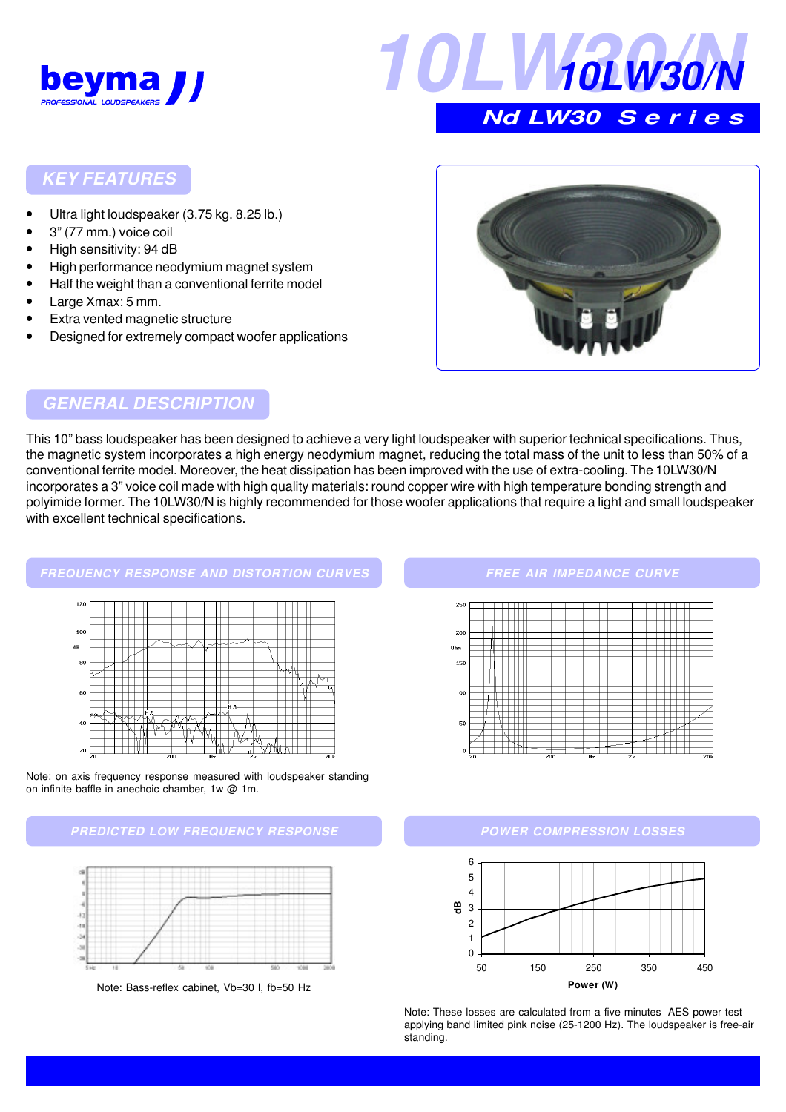



## **KEY FEATURES**

- Ultra light loudspeaker (3.75 kg. 8.25 lb.)
- 3" (77 mm.) voice coil
- High sensitivity: 94 dB
- High performance neodymium magnet system
- Half the weight than a conventional ferrite model
- Large Xmax: 5 mm.
- **Extra vented magnetic structure**
- Designed for extremely compact woofer applications



## **GENERAL DESCRIPTION**

This 10" bass loudspeaker has been designed to achieve a very light loudspeaker with superior technical specifications. Thus, the magnetic system incorporates a high energy neodymium magnet, reducing the total mass of the unit to less than 50% of a conventional ferrite model. Moreover, the heat dissipation has been improved with the use of extra-cooling. The 10LW30/N incorporates a 3" voice coil made with high quality materials: round copper wire with high temperature bonding strength and polyimide former. The 10LW30/N is highly recommended for those woofer applications that require a light and small loudspeaker with excellent technical specifications.

### **FREQUENCY RESPONSE AND DISTORTION CURVES**



Note: on axis frequency response measured with loudspeaker standing on infinite baffle in anechoic chamber, 1w @ 1m.





Note: Bass-reflex cabinet, Vb=30 l, fb=50 Hz

#### **FREE AIR IMPEDANCE CURVE**



#### **POWER COMPRESSION LOSSES**



Note: These losses are calculated from a five minutes AES power test applying band limited pink noise (25-1200 Hz). The loudspeaker is free-air standing.